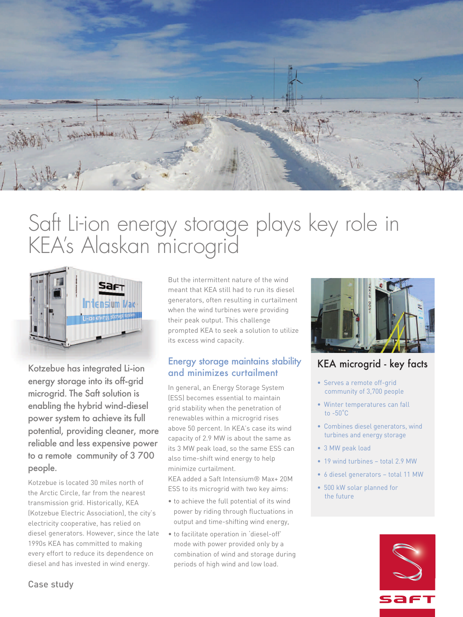

# Saft Li-ion energy storage plays key role in KEA' s Alaskan microgrid



Kotzebue has integrated Li-ion energy storage into its off-grid microgrid. The Saft solution is enabling the hybrid wind-diesel power system to achieve its full potential, providing cleaner, more reliable and less expensive power to a remote community of 3 700 people.

Kotzebue is located 30 miles north of the Arctic Circle, far from the nearest transmission grid. Historically, KEA (Kotzebue Electric Association), the city's electricity cooperative, has relied on diesel generators. However, since the late 1990s KEA has committed to making every effort to reduce its dependence on diesel and has invested in wind energy.

But the intermittent nature of the wind meant that KEA still had to run its diesel generators, often resulting in curtailment when the wind turbines were providing their peak output. This challenge prompted KEA to seek a solution to utilize its excess wind capacity.

#### Energy storage maintains stability and minimizes curtailment

In general, an Energy Storage System (ESS) becomes essential to maintain grid stability when the penetration of renewables within a microgrid rises above 50 percent. In KEA's case its wind capacity of 2.9 MW is about the same as its 3 MW peak load, so the same ESS can also time-shift wind energy to help minimize curtailment.

KEA added a Saft Intensium® Max+ 20M ESS to its microgrid with two key aims:

- to achieve the full potential of its wind power by riding through fluctuations in output and time-shifting wind energy,
- to facilitate operation in 'diesel-off' mode with power provided only by a combination of wind and storage during periods of high wind and low load.



## KEA microgrid - key facts

- Serves a remote off-grid community of 3,700 people
- Winter temperatures can fall to -50˚C
- Combines diesel generators, wind turbines and energy storage
- 3 MW peak load
- 19 wind turbines total 2.9 MW
- 6 diesel generators total 11 MW
- 500 kW solar planned for the future